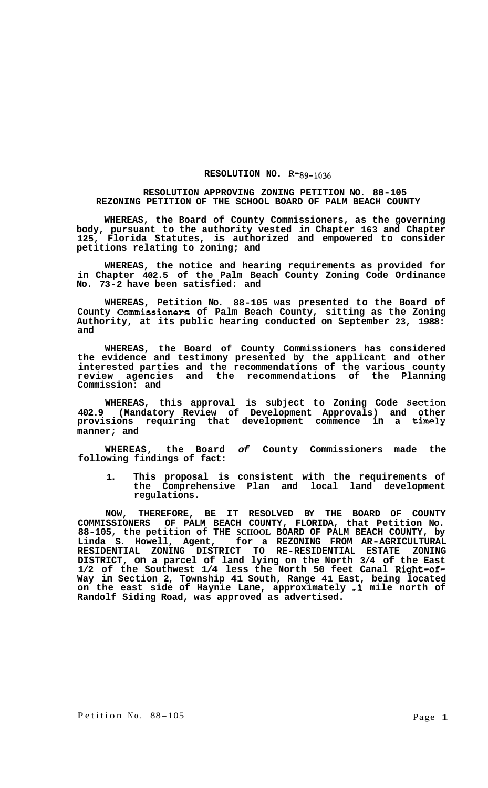## **RESOLUTION NO. R-89-1036**

## **RESOLUTION APPROVING ZONING PETITION NO. 88-105 REZONING PETITION OF THE SCHOOL BOARD OF PALM BEACH COUNTY**

**WHEREAS, the Board of County Commissioners, as the governing body, pursuant to the authority vested in Chapter 163 and Chapter 125, Florida Statutes, is authorized and empowered to consider petitions relating to zoning; and** 

**WHEREAS, the notice and hearing requirements as provided for in Chapter 402.5 of the Palm Beach County Zoning Code Ordinance No. 73-2 have been satisfied: and** 

**WHEREAS, Petition No. 88-105 was presented to the Board of County Commissioners of Palm Beach County, sitting as the Zoning Authority, at its public hearing conducted on September 23, 1988: and** 

**WHEREAS, the Board of County Commissioners has considered the evidence and testimony presented by the applicant and other interested parties and the recommendations of the various county review agencies and the recommendations of the Planning Commission: and** 

**WHEREAS, this approval is subject to Zoning Code Section 402.9 (Mandatory Review of Development Approvals) and other provisions requiring that development commence in a timely manner; and** 

**WHEREAS, the Board** *of* **County Commissioners made the following findings of fact:** 

**1. This proposal is consistent with the requirements of the Comprehensive Plan and local land development regulations.** 

**NOW, THEREFORE, BE IT RESOLVED BY THE BOARD OF COUNTY COMMISSIONERS OF PALM BEACH COUNTY, FLORIDA, that Petition No. 88-105, the petition of THE SCHOOL BOARD OF PALM BEACH COUNTY, by Linda S. Howell, Agent, for a REZONING FROM AR-AGRICULTURAL RESIDENTIAL ZONING DISTRICT TO RE-RESIDENTIAL ESTATE ZONING DISTRICT, on a parcel of land lying on the North 3/4 of the East 1/2 of the Southwest 1/4 less the North 50 feet Canal Right-of-Way in Section 2, Township 41 South, Range 41 East, being located on the east side of Haynie Lane, approximately -1 mile north of Randolf Siding Road, was approved as advertised.**